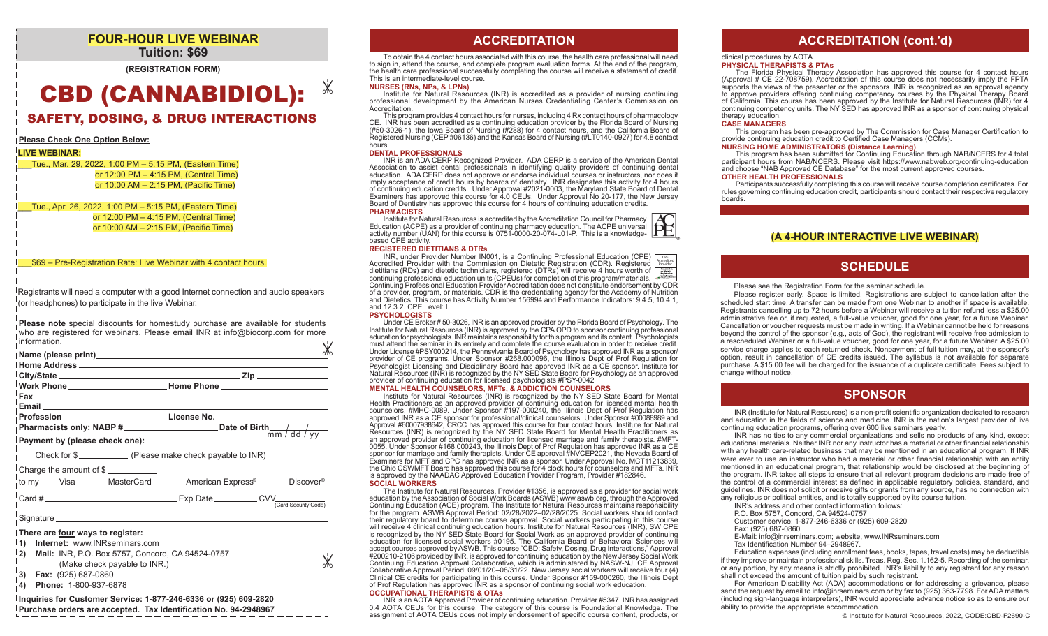## **FOUR-HOUR LIVE WEBINAR Tuition: \$69**

**(REGISTRATION FORM)**

# CBD (CANNABIDIOL):

# SAFETY, DOSING, & DRUG INTERACTIONS

#### **Please Check One Option Below:**

#### **LIVE WEBINAR:**

\_\_\_Tue., Mar. 29, 2022, 1:00 PM – 5:15 PM, (Eastern Time) or 12:00 PM – 4:15 PM, (Central Time) or 10:00 AM – 2:15 PM, (Pacific Time)

#### \_\_\_Tue., Apr. 26, 2022, 1:00 PM – 5:15 PM, (Eastern Time) or 12:00 PM – 4:15 PM, (Central Time) or 10:00 AM – 2:15 PM, (Pacific Time)

\_\_\_\$69 – Pre-Registration Rate: Live Webinar with 4 contact hours.

Registrants will need a computer with a good Internet connection and audio speakers (or headphones) to participate in the live Webinar.

**Please note** special discounts for homestudy purchase are available for students. who are registered for webinars. Please email INR at info@biocorp.com for more information.

| information.                                                                                                                                                                                                             |                                                                                  |
|--------------------------------------------------------------------------------------------------------------------------------------------------------------------------------------------------------------------------|----------------------------------------------------------------------------------|
| Name (please print) Name (please print)                                                                                                                                                                                  |                                                                                  |
|                                                                                                                                                                                                                          |                                                                                  |
|                                                                                                                                                                                                                          | Profession _______________________________License No. __________________________ |
| Payment by (please check one):                                                                                                                                                                                           |                                                                                  |
| __ Check for \$________________ (Please make check payable to INR)                                                                                                                                                       |                                                                                  |
| Charge the amount of \$                                                                                                                                                                                                  | to my __Visa ____MasterCard _____American Express® ____Discover®                 |
| Signature                                                                                                                                                                                                                | Card #                                                                           |
| There are four ways to register:<br>1) Internet: www.INRseminars.com<br>2) Mail: INR, P.O. Box 5757, Concord, CA 94524-0757<br>(Make check payable to INR.)<br> 3)<br>Fax: (925) 687-0860<br>Phone: 1-800-937-6878<br>4) |                                                                                  |
| ിnquiries for Customer Service: 1-877-246-6336 or (925) 609-2820↑                                                                                                                                                        |                                                                                  |

## **Inquiries for Customer Service: 1-877-246-6336 or (925) 609-2820 Purchase orders are accepted. Tax Identification No. 94-2948967**

# **ACCREDITATION**

To obtain the 4 contact hours associated with this course, the health care professional will need to sign in, attend the course, and complete program evaluation forms. At the end of the program, the health care professional successfully completing the course will receive a statement of credit. This is an intermediate-level course.

#### **NURSES (RNs, NPs, & LPNs)**

Institute for Natural Resources (INR) is accredited as a provider of nursing continuing professional development by the American Nurses Credentialing Center's Commission on Accreditation.

This program provides 4 contact hours for nurses, including 4 Rx contact hours of pharmacology CE. INR has been accredited as a continuing education provider by the Florida Board of Nursing (#50-3026-1), the Iowa Board of Nursing (#288) for 4 contact hours, and the California Board of Registered Nursing (CEP #06136) and the Kansas Board of Nursing (#LT0140-0927) for 4.8 contact hours

#### **DENTAL PROFESSIONALS**

INR is an ADA CERP Recognized Provider. ADA CERP is a service of the American Dental Association to assist dental professionals in identifying quality providers of continuing dental education. ADA CERP does not approve or endorse individual courses or instructors, nor does it imply acceptance of credit hours by boards of dentistry. INR designates this activity for 4 hours of continuing education credits. Under Approval #2021-0003, the Maryland State Board of Dental Examiners has approved this course for 4.0 CEUs. Under Approval No 20-177, the New Jersey Board of Dentistry has approved this course for 4 hours of continuing education credits. **PHARMACISTS**

Institute for Natural Resources is accredited by the Accreditation Council for Pharmacy Education (ACPE) as a provider of continuing pharmacy education. The ACPE universal activity number (UAN) for this course is 0751-0000-20-074-L01-P. This is a knowledgebased CPE activity.

#### **REGISTERED DIETITIANS & DTRs**

INR, under Provider Number IN001, is a Continuing Professional Education (CPE) Accredited Provider with the Commission on Dietetic Registration (CDR). Registered dietitians (RDs) and dietetic technicians, registered (DTRs) will receive 4 hours worth of continuing professional education units (CPEUs) for completion of this program/materials. Continuing Professional Education Provider Accreditation does not constitute endorsement by CDR of a provider, program, or materials. CDR is the credentialing agency for the Academy of Nutrition and Dietetics. This course has Activity Number 156994 and Performance Indicators: 9.4.5, 10.4.1, and 12.3.2. CPE Level: I. CPE Accredited Provider

#### **PSYCHOLOGISTS**

Under CE Broker # 50-3026, INR is an approved provider by the Florida Board of Psychology. The Institute for Natural Resources (INR) is approved by the CPA OPD to sponsor continuing professional education for psychologists. INR maintains responsibility for this program and its content. Psychologists must attend the seminar in its entirety and complete the course evaluation in order to receive credit. Under License #PSY000214, the Pennsylvania Board of Psychology has approved INR as a sponsor/ provider of CE programs. Under Sponsor #268.000096, the Illinois Dept of Prof Regulation for Psychologist Licensing and Disciplinary Board has approved INR as a CE sponsor. Institute for Natural Resources (INR) is recognized by the NY SED State Board for Psychology as an approved provider of continuing education for licensed psychologists #PSY-0042

#### **MENTAL HEALTH COUNSELORS, MFTs, & ADDICTION COUNSELORS**

Institute for Natural Resources (INR) is recognized by the NY SED State Board for Mental Health Practitioners as an approved provider of continuing education for licensed mental health counselors, #MHC-0089. Under Sponsor #197-000240, the Illinois Dept of Prof Regulation has approved INR as a CE sponsor for professional/clinical counselors. Under Sponsor #00088989 and Approval #60007938642, CRCC has approved this course for four contact hours. Institute for Natural Resources (INR) is recognized by the NY SED State Board for Mental Health Practitioners as an approved provider of continuing education for licensed marriage and family therapists. #MFT-0055. Under Sponsor #168.000243, the Illinois Dept of Prof Regulation has approved INR as a CE sponsor for marriage and family therapists. Under CE approval #NVCEP2021, the Nevada Board of Examiners for MFT and CPC has approved INR as a sponsor. Under Approval No. MCT11213839, the Ohio CSWMFT Board has approved this course for 4 clock hours for counselors and MFTs. INR is approved by the NAADAC Approved Education Provider Program, Provider #182846. **SOCIAL WORKERS**

The Institute for Natural Resources, Provider #1356, is approved as a provider for social work education by the Association of Social Work Boards (ASWB) www.aswb.org, through the Approved Continuing Education (ACE) program. The Institute for Natural Resources maintains responsibility for the program. ASWB Approval Period: 02/28/2022–02/28/2025. Social workers should contact their regulatory board to determine course approval. Social workers participating in this course will receive 4 clinical continuing education hours. Institute for Natural Resources (INR), SW CPE is recognized by the NY SED State Board for Social Work as an approved provider of continuing education for licensed social workers #0195. The California Board of Behavioral Sciences will accept courses approved by ASWB. This course "CBD: Safety, Dosing, Drug Interactions," Approval #200210-2106 provided by INR, is approved for continuing education by the New Jersey Social Work Continuing Education Approval Collaborative, which is administered by NASW-NJ. CE Approval Collaborative Approval Period: 09/01/20–08/31/22. New Jersey social workers will receive four (4) Clinical CE credits for participating in this course. Under Sponsor #159-000260, the Illinois Dept of Prof Regulation has approved INR as a sponsor of continuing social work education. **OCCUPATIONAL THERAPISTS & OTAs**

INR is an AOTA Approved Provider of continuing education. Provider #5347. INR has assigned 0.4 AOTA CEUs for this course. The category of this course is Foundational Knowledge. The assignment of AOTA CEUs does not imply endorsement of specific course content, products, or

## **ACCREDITATION (cont.'d)**

#### clinical procedures by AOTA.

#### **PHYSICAL THERAPISTS & PTAs**

The Florida Physical Therapy Association has approved this course for 4 contact hours (Approval # CE 22-708759). Accreditation of this course does not necessarily imply the FPTA supports the views of the presenter or the sponsors. INR is recognized as an approval agency to approve providers offering continuing competency courses by the Physical Therapy Board of California. This course has been approved by the Institute for Natural Resources (INR) for 4 continuing competency units. The NY SED has approved INR as a sponsor of continuing physical therapy education.

#### **CASE MANAGERS**

This program has been pre-approved by The Commission for Case Manager Certification to provide continuing education credit to Certified Case Managers (CCMs).

#### **NURSING HOME ADMINISTRATORS (Distance Learning)**

This program has been submitted for Continuing Education through NAB/NCERS for 4 total participant hours from NAB/NCERS. Please visit https://www.nabweb.org/continuing-education and choose "NAB Approved CE Database" for the most current approved courses.

#### **OTHER HEALTH PROFESSIONALS**

Participants successfully completing this course will receive course completion certificates. For rules governing continuing education credit, participants should contact their respective regulatory boards.

### **(A 4-HOUR INTERACTIVE LIVE WEBINAR)**

## **SCHEDULE**

Please see the Registration Form for the seminar schedule.

 Please register early. Space is limited. Registrations are subject to cancellation after the scheduled start time. A transfer can be made from one Webinar to another if space is available. Registrants cancelling up to 72 hours before a Webinar will receive a tuition refund less a \$25.00 administrative fee or, if requested, a full-value voucher, good for one year, for a future Webinar. Cancellation or voucher requests must be made in writing. If a Webinar cannot be held for reasons beyond the control of the sponsor (e.g., acts of God), the registrant will receive free admission to a rescheduled Webinar or a full-value voucher, good for one year, for a future Webinar. A \$25.00 service charge applies to each returned check. Nonpayment of full tuition may, at the sponsor's option, result in cancellation of CE credits issued. The syllabus is not available for separate purchase. A \$15.00 fee will be charged for the issuance of a duplicate certificate. Fees subject to change without notice.

# **SPONSOR**

INR (Institute for Natural Resources) is a non-profit scientific organization dedicated to research and education in the fields of science and medicine. INR is the nation's largest provider of live continuing education programs, offering over 600 live seminars yearly.

 INR has no ties to any commercial organizations and sells no products of any kind, except educational materials. Neither INR nor any instructor has a material or other financial relationship with any health care-related business that may be mentioned in an educational program. If INR were ever to use an instructor who had a material or other financial relationship with an entity mentioned in an educational program, that relationship would be disclosed at the beginning of the program. INR takes all steps to ensure that all relevant program decisions are made free of the control of a commercial interest as defined in applicable regulatory policies, standard, and guidelines. INR does not solicit or receive gifts or grants from any source, has no connection with any religious or political entities, and is totally supported by its course tuition.

- INR's address and other contact information follows:
- P.O. Box 5757, Concord, CA 94524-0757
- Customer service: 1-877-246-6336 or (925) 609-2820
- Fax: (925) 687-0860
- E-Mail: info@inrseminars.com; website, www.INRseminars.com
- Tax Identification Number 94–2948967.

 Education expenses (including enrollment fees, books, tapes, travel costs) may be deductible if they improve or maintain professional skills. Treas. Reg. Sec. 1.162-5. Recording of the seminar, or any portion, by any means is strictly prohibited. INR's liability to any registrant for any reason shall not exceed the amount of tuition paid by such registrant.

 For American Disability Act (ADA) accommodations or for addressing a grievance, please send the request by email to info@inrseminars.com or by fax to (925) 363-7798. For ADA matters (including sign-language interpreters), INR would appreciate advance notice so as to ensure our ability to provide the appropriate accommodation.